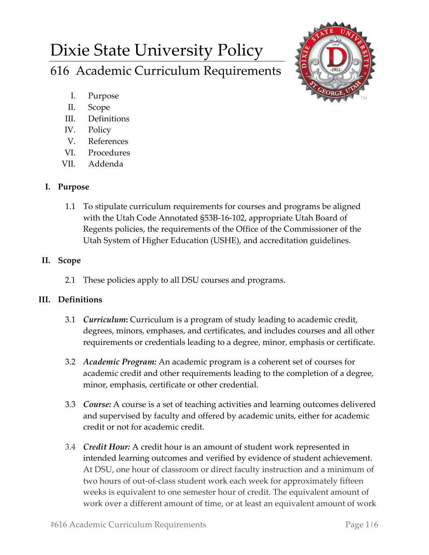# Dixie State University Policy 616 Academic Curriculum Requirements



- I. Purpose
- II. Scope
- III. Definitions
- IV. Policy
- V. References
- VI. Procedures
- VII. Addenda

## **I. Purpose**

1.1 To stipulate curriculum requirements for courses and programs be aligned with the Utah Code Annotated §53B-16-102, appropriate Utah Board of Regents policies, the requirements of the Office of the Commissioner of the Utah System of Higher Education (USHE), and accreditation guidelines.

# **II. Scope**

2.1 These policies apply to all DSU courses and programs.

# **III. Definitions**

- 3.1 *Curriculum***:** Curriculum is a program of study leading to academic credit, degrees, minors, emphases, and certificates, and includes courses and all other requirements or credentials leading to a degree, minor, emphasis or certificate.
- 3.2 *Academic Program:* An academic program is a coherent set of courses for academic credit and other requirements leading to the completion of a degree, minor, emphasis, certificate or other credential.
- 3.3 *Course:* A course is a set of teaching activities and learning outcomes delivered and supervised by faculty and offered by academic units, either for academic credit or not for academic credit.
- 3.4 *Credit Hour:* A credit hour is an amount of student work represented in intended learning outcomes and verified by evidence of student achievement. At DSU, one hour of classroom or direct faculty instruction and a minimum of two hours of out-of-class student work each week for approximately fifteen weeks is equivalent to one semester hour of credit. The equivalent amount of work over a different amount of time, or at least an equivalent amount of work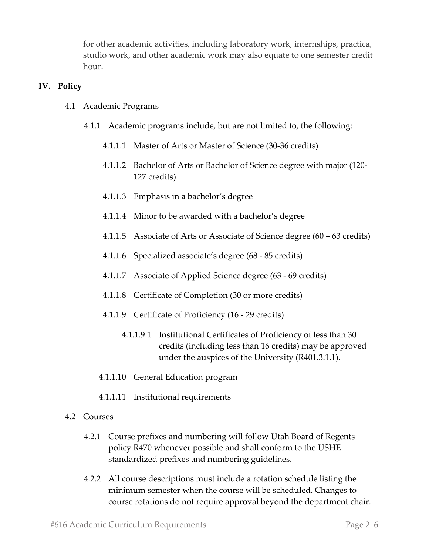for other academic activities, including laboratory work, internships, practica, studio work, and other academic work may also equate to one semester credit hour.

#### **IV. Policy**

- 4.1 Academic Programs
	- 4.1.1 Academic programs include, but are not limited to, the following:
		- 4.1.1.1 Master of Arts or Master of Science (30-36 credits)
		- 4.1.1.2 Bachelor of Arts or Bachelor of Science degree with major (120- 127 credits)
		- 4.1.1.3 Emphasis in a bachelor's degree
		- 4.1.1.4 Minor to be awarded with a bachelor's degree
		- 4.1.1.5 Associate of Arts or Associate of Science degree (60 63 credits)
		- 4.1.1.6 Specialized associate's degree (68 85 credits)
		- 4.1.1.7 Associate of Applied Science degree (63 69 credits)
		- 4.1.1.8 Certificate of Completion (30 or more credits)
		- 4.1.1.9 Certificate of Proficiency (16 29 credits)
			- 4.1.1.9.1 Institutional Certificates of Proficiency of less than 30 credits (including less than 16 credits) may be approved under the auspices of the University (R401.3.1.1).
		- 4.1.1.10 General Education program
		- 4.1.1.11 Institutional requirements
- 4.2 Courses
	- 4.2.1 Course prefixes and numbering will follow Utah Board of Regents policy R470 whenever possible and shall conform to the USHE standardized prefixes and numbering guidelines.
	- 4.2.2 All course descriptions must include a rotation schedule listing the minimum semester when the course will be scheduled. Changes to course rotations do not require approval beyond the department chair.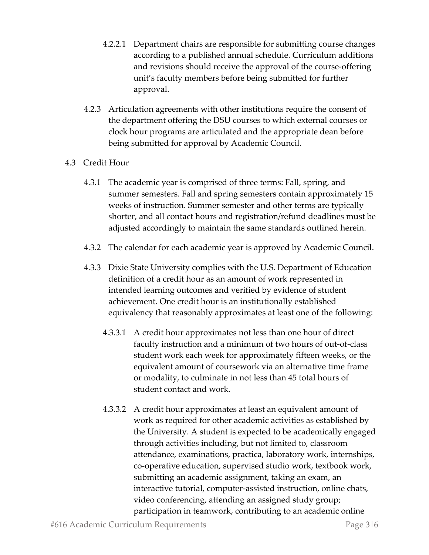- 4.2.2.1 Department chairs are responsible for submitting course changes according to a published annual schedule. Curriculum additions and revisions should receive the approval of the course-offering unit's faculty members before being submitted for further approval.
- 4.2.3 Articulation agreements with other institutions require the consent of the department offering the DSU courses to which external courses or clock hour programs are articulated and the appropriate dean before being submitted for approval by Academic Council.

## 4.3 Credit Hour

- 4.3.1 The academic year is comprised of three terms: Fall, spring, and summer semesters. Fall and spring semesters contain approximately 15 weeks of instruction. Summer semester and other terms are typically shorter, and all contact hours and registration/refund deadlines must be adjusted accordingly to maintain the same standards outlined herein.
- 4.3.2 The calendar for each academic year is approved by Academic Council.
- 4.3.3 Dixie State University complies with the U.S. Department of Education definition of a credit hour as an amount of work represented in intended learning outcomes and verified by evidence of student achievement. One credit hour is an institutionally established equivalency that reasonably approximates at least one of the following:
	- 4.3.3.1 A credit hour approximates not less than one hour of direct faculty instruction and a minimum of two hours of out-of-class student work each week for approximately fifteen weeks, or the equivalent amount of coursework via an alternative time frame or modality, to culminate in not less than 45 total hours of student contact and work.
	- 4.3.3.2 A credit hour approximates at least an equivalent amount of work as required for other academic activities as established by the University. A student is expected to be academically engaged through activities including, but not limited to, classroom attendance, examinations, practica, laboratory work, internships, co-operative education, supervised studio work, textbook work, submitting an academic assignment, taking an exam, an interactive tutorial, computer-assisted instruction, online chats, video conferencing, attending an assigned study group; participation in teamwork, contributing to an academic online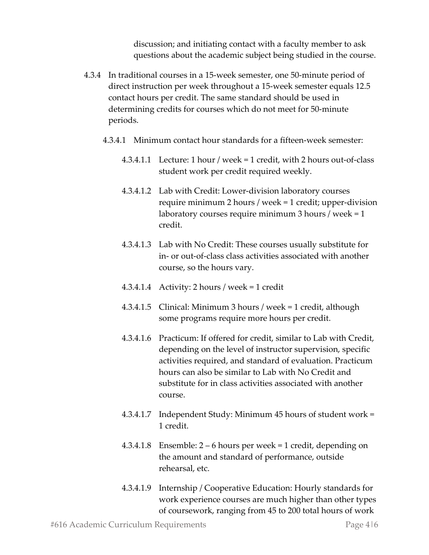discussion; and initiating contact with a faculty member to ask questions about the academic subject being studied in the course.

- 4.3.4 In traditional courses in a 15-week semester, one 50-minute period of direct instruction per week throughout a 15-week semester equals 12.5 contact hours per credit. The same standard should be used in determining credits for courses which do not meet for 50-minute periods.
	- 4.3.4.1 Minimum contact hour standards for a fifteen-week semester:
		- 4.3.4.1.1 Lecture: 1 hour / week = 1 credit, with 2 hours out-of-class student work per credit required weekly.
		- 4.3.4.1.2 Lab with Credit: Lower-division laboratory courses require minimum 2 hours / week = 1 credit; upper-division laboratory courses require minimum 3 hours / week = 1 credit.
		- 4.3.4.1.3 Lab with No Credit: These courses usually substitute for in- or out-of-class class activities associated with another course, so the hours vary.
		- 4.3.4.1.4 Activity: 2 hours / week = 1 credit
		- 4.3.4.1.5 Clinical: Minimum 3 hours / week = 1 credit, although some programs require more hours per credit.
		- 4.3.4.1.6 Practicum: If offered for credit, similar to Lab with Credit, depending on the level of instructor supervision, specific activities required, and standard of evaluation. Practicum hours can also be similar to Lab with No Credit and substitute for in class activities associated with another course.
		- 4.3.4.1.7 Independent Study: Minimum 45 hours of student work = 1 credit.
		- 4.3.4.1.8 Ensemble: 2 6 hours per week = 1 credit, depending on the amount and standard of performance, outside rehearsal, etc.
		- 4.3.4.1.9 Internship / Cooperative Education: Hourly standards for work experience courses are much higher than other types of coursework, ranging from 45 to 200 total hours of work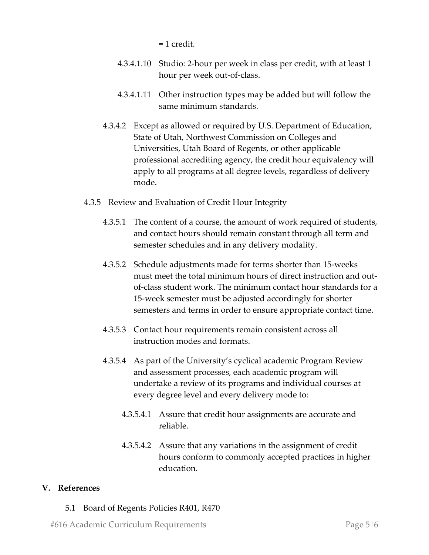= 1 credit.

- 4.3.4.1.10 Studio: 2-hour per week in class per credit, with at least 1 hour per week out-of-class.
- 4.3.4.1.11 Other instruction types may be added but will follow the same minimum standards.
- 4.3.4.2 Except as allowed or required by U.S. Department of Education, State of Utah, Northwest Commission on Colleges and Universities, Utah Board of Regents, or other applicable professional accrediting agency, the credit hour equivalency will apply to all programs at all degree levels, regardless of delivery mode.
- 4.3.5 Review and Evaluation of Credit Hour Integrity
	- 4.3.5.1 The content of a course, the amount of work required of students, and contact hours should remain constant through all term and semester schedules and in any delivery modality.
	- 4.3.5.2 Schedule adjustments made for terms shorter than 15-weeks must meet the total minimum hours of direct instruction and outof-class student work. The minimum contact hour standards for a 15-week semester must be adjusted accordingly for shorter semesters and terms in order to ensure appropriate contact time.
	- 4.3.5.3 Contact hour requirements remain consistent across all instruction modes and formats.
	- 4.3.5.4 As part of the University's cyclical academic Program Review and assessment processes, each academic program will undertake a review of its programs and individual courses at every degree level and every delivery mode to:
		- 4.3.5.4.1 Assure that credit hour assignments are accurate and reliable.
		- 4.3.5.4.2 Assure that any variations in the assignment of credit hours conform to commonly accepted practices in higher education.

## **V. References**

## 5.1 Board of Regents Policies R401, R470